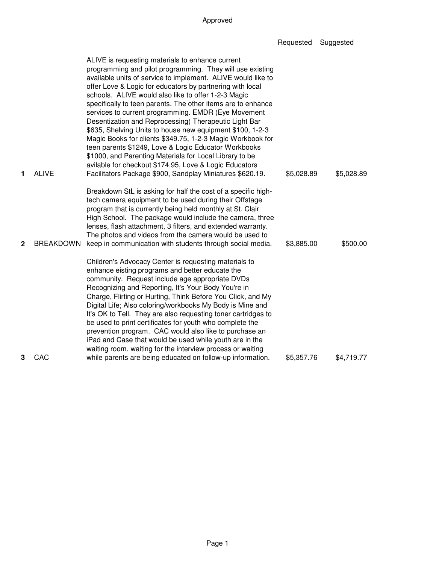| Requested | Suggested |
|-----------|-----------|
|-----------|-----------|

|                  |                                  | ALIVE is requesting materials to enhance current<br>programming and pilot programming. They will use existing<br>available units of service to implement. ALIVE would like to<br>offer Love & Logic for educators by partnering with local<br>schools. ALIVE would also like to offer 1-2-3 Magic<br>specifically to teen parents. The other items are to enhance<br>services to current programming. EMDR (Eye Movement<br>Desentization and Reprocessing) Therapeutic Light Bar<br>\$635, Shelving Units to house new equipment \$100, 1-2-3<br>Magic Books for clients \$349.75, 1-2-3 Magic Workbook for<br>teen parents \$1249, Love & Logic Educator Workbooks<br>\$1000, and Parenting Materials for Local Library to be<br>avilable for checkout \$174.95, Love & Logic Educators |                          |                        |
|------------------|----------------------------------|-------------------------------------------------------------------------------------------------------------------------------------------------------------------------------------------------------------------------------------------------------------------------------------------------------------------------------------------------------------------------------------------------------------------------------------------------------------------------------------------------------------------------------------------------------------------------------------------------------------------------------------------------------------------------------------------------------------------------------------------------------------------------------------------|--------------------------|------------------------|
| 1<br>$\mathbf 2$ | <b>ALIVE</b><br><b>BREAKDOWN</b> | Facilitators Package \$900, Sandplay Miniatures \$620.19.<br>Breakdown StL is asking for half the cost of a specific high-<br>tech camera equipment to be used during their Offstage<br>program that is currently being held monthly at St. Clair<br>High School. The package would include the camera, three<br>lenses, flash attachment, 3 filters, and extended warranty.<br>The photos and videos from the camera would be used to<br>keep in communication with students through social media.                                                                                                                                                                                                                                                                                       | \$5,028.89<br>\$3,885.00 | \$5,028.89<br>\$500.00 |
|                  |                                  | Children's Advocacy Center is requesting materials to<br>enhance eisting programs and better educate the<br>community. Request include age appropriate DVDs<br>Recognizing and Reporting, It's Your Body You're in<br>Charge, Flirting or Hurting, Think Before You Click, and My<br>Digital Life; Also coloring/workbooks My Body is Mine and<br>It's OK to Tell. They are also requesting toner cartridges to<br>be used to print certificates for youth who complete the<br>prevention program. CAC would also like to purchase an<br>iPad and Case that would be used while youth are in the<br>waiting room, waiting for the interview process or waiting                                                                                                                            |                          |                        |
| 3                | CAC                              | while parents are being educated on follow-up information.                                                                                                                                                                                                                                                                                                                                                                                                                                                                                                                                                                                                                                                                                                                                | \$5,357.76               | \$4,719.77             |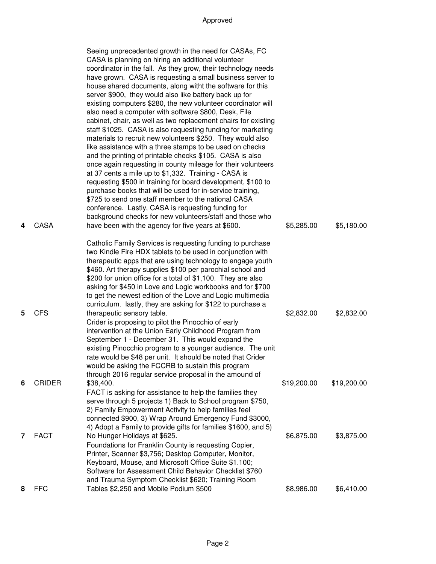|                |               | Seeing unprecedented growth in the need for CASAs, FC<br>CASA is planning on hiring an additional volunteer<br>coordinator in the fall. As they grow, their technology needs<br>have grown. CASA is requesting a small business server to<br>house shared documents, along witht the software for this<br>server \$900, they would also like battery back up for<br>existing computers \$280, the new volunteer coordinator will<br>also need a computer with software \$800, Desk, File<br>cabinet, chair, as well as two replacement chairs for existing<br>staff \$1025. CASA is also requesting funding for marketing<br>materials to recruit new volunteers \$250. They would also<br>like assistance with a three stamps to be used on checks<br>and the printing of printable checks \$105. CASA is also<br>once again requesting in county mileage for their volunteers<br>at 37 cents a mile up to \$1,332. Training - CASA is<br>requesting \$500 in training for board development, \$100 to<br>purchase books that will be used for in-service training,<br>\$725 to send one staff member to the national CASA<br>conference. Lastly, CASA is requesting funding for<br>background checks for new volunteers/staff and those who |             |             |
|----------------|---------------|-----------------------------------------------------------------------------------------------------------------------------------------------------------------------------------------------------------------------------------------------------------------------------------------------------------------------------------------------------------------------------------------------------------------------------------------------------------------------------------------------------------------------------------------------------------------------------------------------------------------------------------------------------------------------------------------------------------------------------------------------------------------------------------------------------------------------------------------------------------------------------------------------------------------------------------------------------------------------------------------------------------------------------------------------------------------------------------------------------------------------------------------------------------------------------------------------------------------------------------------------|-------------|-------------|
| 4              | <b>CASA</b>   | have been with the agency for five years at \$600.                                                                                                                                                                                                                                                                                                                                                                                                                                                                                                                                                                                                                                                                                                                                                                                                                                                                                                                                                                                                                                                                                                                                                                                            | \$5,285.00  | \$5,180.00  |
| 5              | <b>CFS</b>    | Catholic Family Services is requesting funding to purchase<br>two Kindle Fire HDX tablets to be used in conjunction with<br>therapeutic apps that are using technology to engage youth<br>\$460. Art therapy supplies \$100 per parochial school and<br>\$200 for union office for a total of \$1,100. They are also<br>asking for \$450 in Love and Logic workbooks and for \$700<br>to get the newest edition of the Love and Logic multimedia<br>curriculum. lastly, they are asking for \$122 to purchase a<br>therapeutic sensory table.<br>Crider is proposing to pilot the Pinocchio of early<br>intervention at the Union Early Childhood Program from<br>September 1 - December 31. This would expand the<br>existing Pinocchio program to a younger audience. The unit<br>rate would be \$48 per unit. It should be noted that Crider<br>would be asking the FCCRB to sustain this program<br>through 2016 regular service proposal in the amound of                                                                                                                                                                                                                                                                                | \$2,832.00  | \$2,832.00  |
| 6              | <b>CRIDER</b> | \$38,400.                                                                                                                                                                                                                                                                                                                                                                                                                                                                                                                                                                                                                                                                                                                                                                                                                                                                                                                                                                                                                                                                                                                                                                                                                                     | \$19,200.00 | \$19,200.00 |
|                |               | FACT is asking for assistance to help the families they<br>serve through 5 projects 1) Back to School program \$750,<br>2) Family Empowerment Activity to help families feel<br>connected \$900, 3) Wrap Around Emergency Fund \$3000,<br>4) Adopt a Family to provide gifts for families \$1600, and 5)                                                                                                                                                                                                                                                                                                                                                                                                                                                                                                                                                                                                                                                                                                                                                                                                                                                                                                                                      |             |             |
| $\overline{7}$ | <b>FACT</b>   | No Hunger Holidays at \$625.<br>Foundations for Franklin County is requesting Copier,<br>Printer, Scanner \$3,756; Desktop Computer, Monitor,<br>Keyboard, Mouse, and Microsoft Office Suite \$1.100;<br>Software for Assessment Child Behavior Checklist \$760<br>and Trauma Symptom Checklist \$620; Training Room                                                                                                                                                                                                                                                                                                                                                                                                                                                                                                                                                                                                                                                                                                                                                                                                                                                                                                                          | \$6,875.00  | \$3,875.00  |
| 8              | <b>FFC</b>    | Tables \$2,250 and Mobile Podium \$500                                                                                                                                                                                                                                                                                                                                                                                                                                                                                                                                                                                                                                                                                                                                                                                                                                                                                                                                                                                                                                                                                                                                                                                                        | \$8,986.00  | \$6,410.00  |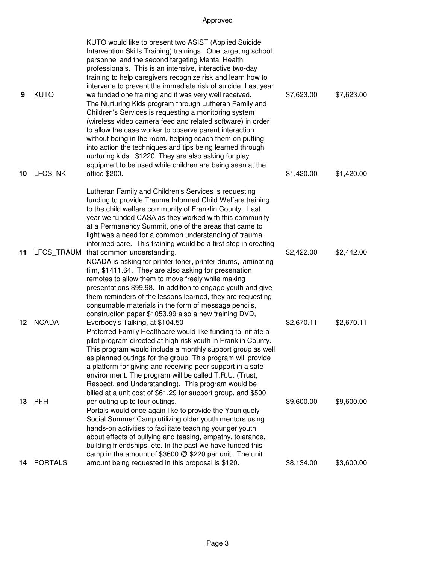|    |                | KUTO would like to present two ASIST (Applied Suicide<br>Intervention Skills Training) trainings. One targeting school<br>personnel and the second targeting Mental Health<br>professionals. This is an intensive, interactive two-day<br>training to help caregivers recognize risk and learn how to<br>intervene to prevent the immediate risk of suicide. Last year                                                                                                                                                                          |            |            |
|----|----------------|-------------------------------------------------------------------------------------------------------------------------------------------------------------------------------------------------------------------------------------------------------------------------------------------------------------------------------------------------------------------------------------------------------------------------------------------------------------------------------------------------------------------------------------------------|------------|------------|
| 9  | <b>KUTO</b>    | we funded one training and it was very well received.<br>The Nurturing Kids program through Lutheran Family and<br>Children's Services is requesting a monitoring system<br>(wireless video camera feed and related software) in order<br>to allow the case worker to observe parent interaction<br>without being in the room, helping coach them on putting<br>into action the techniques and tips being learned through<br>nurturing kids. \$1220; They are also asking for play<br>equipme t to be used while children are being seen at the | \$7,623.00 | \$7,623.00 |
| 10 | LFCS NK        | office \$200.                                                                                                                                                                                                                                                                                                                                                                                                                                                                                                                                   | \$1,420.00 | \$1,420.00 |
|    |                | Lutheran Family and Children's Services is requesting<br>funding to provide Trauma Informed Child Welfare training<br>to the child welfare community of Franklin County. Last<br>year we funded CASA as they worked with this community<br>at a Permanency Summit, one of the areas that came to<br>light was a need for a common understanding of trauma                                                                                                                                                                                       |            |            |
| 11 | LFCS TRAUM     | informed care. This training would be a first step in creating<br>that common understanding.<br>NCADA is asking for printer toner, printer drums, laminating<br>film, \$1411.64. They are also asking for presenation<br>remotes to allow them to move freely while making<br>presentations \$99.98. In addition to engage youth and give<br>them reminders of the lessons learned, they are requesting<br>consumable materials in the form of message pencils,<br>construction paper \$1053.99 also a new training DVD,                        | \$2,422.00 | \$2,442.00 |
| 12 | <b>NCADA</b>   | Everbody's Talking, at \$104.50<br>Preferred Family Healthcare would like funding to initiate a<br>pilot program directed at high risk youth in Franklin County.<br>This program would include a monthly support group as well<br>as planned outings for the group. This program will provide<br>a platform for giving and receiving peer support in a safe<br>environment. The program will be called T.R.U. (Trust,<br>Respect, and Understanding). This program would be<br>billed at a unit cost of \$61.29 for support group, and \$500    | \$2,670.11 | \$2,670.11 |
| 13 | <b>PFH</b>     | per outing up to four outings.<br>Portals would once again like to provide the Youniquely<br>Social Summer Camp utilizing older youth mentors using<br>hands-on activities to facilitate teaching younger youth<br>about effects of bullying and teasing, empathy, tolerance,<br>building friendships, etc. In the past we have funded this<br>camp in the amount of \$3600 @ \$220 per unit. The unit                                                                                                                                          | \$9,600.00 | \$9,600.00 |
| 14 | <b>PORTALS</b> | amount being requested in this proposal is \$120.                                                                                                                                                                                                                                                                                                                                                                                                                                                                                               | \$8,134.00 | \$3,600.00 |